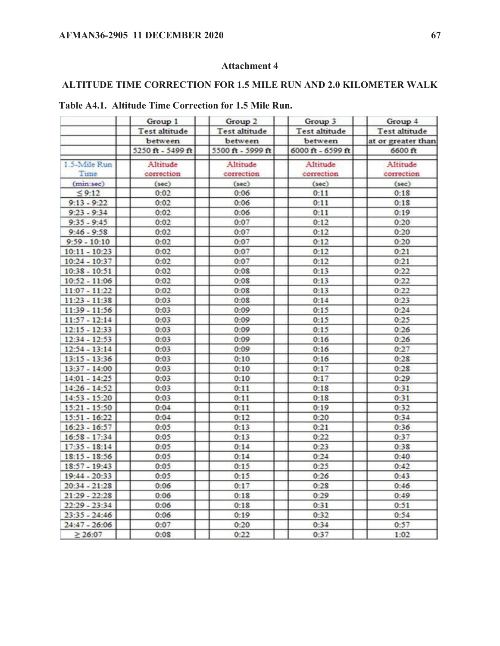## **Attachment 4**

## **ALTITUDE TIME CORRECTION FOR 1.5 MILE RUN AND 2.0 KILOMETER WALK**

|                 | Group 1             | Group 2           | Group 3           | Group 4                             |  |  |
|-----------------|---------------------|-------------------|-------------------|-------------------------------------|--|--|
|                 | Test altitude       | Test altitude     | Test altitude     | Test altitude<br>at or greater than |  |  |
|                 | between             | between           | between           |                                     |  |  |
|                 | $5250$ ft - 5499 ft | 5500 ft - 5999 ft | 6000 ft - 6599 ft | 6600 ft                             |  |  |
| 1.5-Mile Run    | Altitude            | Altitude          | Altitude          | Altitude                            |  |  |
| Time            | correction          | correction        | correction        | correction                          |  |  |
| (min:sec)       | (sec)               | (sec)             | (sec)             | (sec)                               |  |  |
| 59:12           | 0:02                | 0:06              | 0:11              | 0:1S                                |  |  |
| $9:13 - 9:22$   | 0:02                | 0:06              | 0:11              | 0:18                                |  |  |
| $9:23 - 9:34$   | 0:02                | 0:06              | 0:11              | 0:19                                |  |  |
| $9:35 - 9:45$   | 0:02                | 0:07              | 0:12              | 0:20                                |  |  |
| $9:46 - 9:58$   | 0:02                | 0:07              | 0:12              | 0:20                                |  |  |
| $9:59 - 10:10$  | 0:02                | 0:07              | 0:12              | 0:20                                |  |  |
| $10:11 - 10:23$ | 0:02                | 0:07              | 0:12              | 0:21                                |  |  |
| $10:24 - 10:37$ | 0:02                | 0:07              | 0:12              | 0:21                                |  |  |
| $10:38 - 10:51$ | 0:02                | 0:0S              | 0:13              | 0:22                                |  |  |
| $10:52 - 11:06$ | 0:02                | 0:0S              | 0:13              | 0:22                                |  |  |
| $11:07 - 11:22$ | 0:02                | 0:0S              | 0:13              | 0:22                                |  |  |
| $11:23 - 11:38$ | 0:03                | 0:0S              | 0:14              | 0:23                                |  |  |
| 11:39 - 11:56   | 0:03                | 0:09              | 0:15              | 0:24                                |  |  |
| $11:57 - 12:14$ | 0:03                | 0:09              | 0:15              | 0:25                                |  |  |
| $12:15 - 12:33$ | 0:03                | 0:09              | 0:15              | 0:26                                |  |  |
| $12:34 - 12:53$ | 0:03                | 0:09              | 0:16              | 0:26                                |  |  |
| $12:54 - 13:14$ | 0:03                | 0:09              | 0:16              | 0:27                                |  |  |
| $13:15 - 13:36$ | 0:03                | 0:10              | 0:16              | 0:28                                |  |  |
| $13:37 - 14:00$ | 0:03                | 0:10              | 0:17              | 0:28                                |  |  |
| $14:01 - 14:25$ | 0:03                | 0:10              | 0:17              | 0:29                                |  |  |
| $14:26 - 14:52$ | 0:03                | 0:11              | 0:1S              | 0:31                                |  |  |
| $14:53 - 15:20$ | 0:03                | 0:11              | 0:18              | 0:31                                |  |  |
| $15:21 - 15:50$ | 0:04                | 0:11              | 0:19              | 0:32                                |  |  |
| $15:51 - 16:22$ | 0:04                | 0:12              | 0:20              | 0:34                                |  |  |
| $16:23 - 16:57$ | 0:05                | 0:13              | 0:21              | 0:36                                |  |  |
| $16:58 - 17:34$ | 0:05                | 0:13              | 0:22              | 0:37                                |  |  |
| $17:35 - 18:14$ | 0:05                | 0:14              | 0:23              | 0:38                                |  |  |
| $18:15 - 18:56$ | 0:05                | 0:14              | 0:24              | 0:40                                |  |  |
| $18:57 - 19:43$ | 0:05                | 0:15              | 0:25              | 0:42                                |  |  |
| 19:44 - 20:33   | 0:05                | 0:15              | 0:26              | 0:43                                |  |  |
| $20:34 - 21:28$ | 0:06                | 0:17              | 0:28              | 0:46                                |  |  |
| $21:29 - 22:28$ | 0:06                | 0:1S              | 0:29              | 0:49                                |  |  |
| $22:29 - 23:34$ | 0:06                | 0:1S              | 0:31              | 0:51                                |  |  |
| $23:35 - 24:46$ | 0:06                | 0:19              | 0:32              | 0:54                                |  |  |
| $24:47 - 26:06$ | 0:07                | 0:20              | 0:34              | 0:57                                |  |  |
| > 26:07         | 0:0S                | 0:22              | 0:37              | $1 - 02$                            |  |  |

## **Table A4.1. Altitude Time Correction for 1.5 Mile Run.**